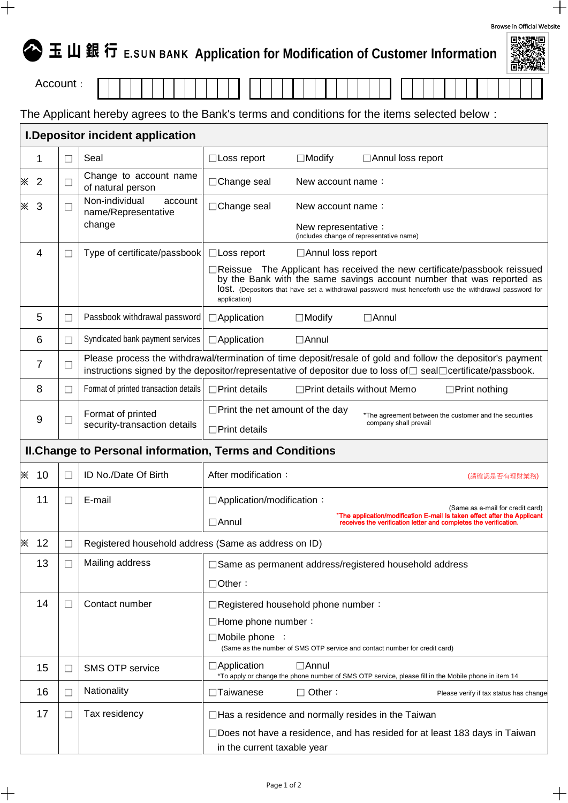|                                                                 |                                                                                              |                                                            |                                                                                                                                                                                                                                                                                      | 医皮质切除术                                                                                                                                            |  |  |  |  |  |
|-----------------------------------------------------------------|----------------------------------------------------------------------------------------------|------------------------------------------------------------|--------------------------------------------------------------------------------------------------------------------------------------------------------------------------------------------------------------------------------------------------------------------------------------|---------------------------------------------------------------------------------------------------------------------------------------------------|--|--|--|--|--|
| Account:                                                        |                                                                                              |                                                            |                                                                                                                                                                                                                                                                                      |                                                                                                                                                   |  |  |  |  |  |
|                                                                 | The Applicant hereby agrees to the Bank's terms and conditions for the items selected below: |                                                            |                                                                                                                                                                                                                                                                                      |                                                                                                                                                   |  |  |  |  |  |
|                                                                 | I. Depositor incident application                                                            |                                                            |                                                                                                                                                                                                                                                                                      |                                                                                                                                                   |  |  |  |  |  |
|                                                                 | 1                                                                                            | $\Box$                                                     | Seal                                                                                                                                                                                                                                                                                 | □ Annul loss report<br>$\Box$ Loss report<br>$\Box$ Modify                                                                                        |  |  |  |  |  |
| ⋇                                                               | $\overline{2}$                                                                               | $\Box$                                                     | Change to account name<br>of natural person                                                                                                                                                                                                                                          | □Change seal<br>New account name:                                                                                                                 |  |  |  |  |  |
| ፠                                                               | 3                                                                                            | Non-individual<br>account<br>$\Box$<br>name/Representative |                                                                                                                                                                                                                                                                                      | □Change seal<br>New account name:                                                                                                                 |  |  |  |  |  |
|                                                                 |                                                                                              |                                                            | change                                                                                                                                                                                                                                                                               | New representative:<br>(includes change of representative name)                                                                                   |  |  |  |  |  |
|                                                                 | 4                                                                                            | $\Box$                                                     | Type of certificate/passbook                                                                                                                                                                                                                                                         | $\Box$ Loss report<br>□ Annul loss report                                                                                                         |  |  |  |  |  |
|                                                                 |                                                                                              |                                                            | The Applicant has received the new certificate/passbook reissued<br>$\Box$ Reissue<br>by the Bank with the same savings account number that was reported as<br>IOSt. (Depositors that have set a withdrawal password must henceforth use the withdrawal password for<br>application) |                                                                                                                                                   |  |  |  |  |  |
|                                                                 | 5                                                                                            | $\Box$                                                     | Passbook withdrawal password                                                                                                                                                                                                                                                         | □Application<br>$\Box$ Modify<br>$\Box$ Annul                                                                                                     |  |  |  |  |  |
|                                                                 | 6                                                                                            | $\Box$                                                     | Syndicated bank payment services                                                                                                                                                                                                                                                     | $\Box$ Application<br>$\Box$ Annul                                                                                                                |  |  |  |  |  |
|                                                                 | 7                                                                                            | $\Box$                                                     | Please process the withdrawal/termination of time deposit/resale of gold and follow the depositor's payment<br>instructions signed by the depositor/representative of depositor due to loss of □ seal□certificate/passbook.                                                          |                                                                                                                                                   |  |  |  |  |  |
|                                                                 | 8                                                                                            | $\Box$                                                     | Format of printed transaction details<br>$\Box$ Print details<br>$\Box$ Print details without Memo<br>$\Box$ Print nothing                                                                                                                                                           |                                                                                                                                                   |  |  |  |  |  |
|                                                                 | 9                                                                                            | $\Box$                                                     | Format of printed<br>security-transaction details                                                                                                                                                                                                                                    | $\Box$ Print the net amount of the day<br>*The agreement between the customer and the securities<br>company shall prevail<br>$\Box$ Print details |  |  |  |  |  |
| <b>II. Change to Personal information, Terms and Conditions</b> |                                                                                              |                                                            |                                                                                                                                                                                                                                                                                      |                                                                                                                                                   |  |  |  |  |  |
| ⋇                                                               | -10                                                                                          | $\mathsf{L}$                                               | ID No./Date Of Birth                                                                                                                                                                                                                                                                 | After modification:<br>(請確認是否有理財業務)                                                                                                               |  |  |  |  |  |
|                                                                 | 11                                                                                           |                                                            | E-mail                                                                                                                                                                                                                                                                               | □ Application/modification:<br>(Same as e-mail for credit card)                                                                                   |  |  |  |  |  |
| $\Box$ Annul                                                    |                                                                                              |                                                            |                                                                                                                                                                                                                                                                                      | *The application/modification E-mail Is taken effect after the Applicant<br>receives the verification letter and completes the verification.      |  |  |  |  |  |
| ⋇                                                               | 12                                                                                           | П                                                          | Registered household address (Same as address on ID)                                                                                                                                                                                                                                 |                                                                                                                                                   |  |  |  |  |  |
|                                                                 | 13                                                                                           | Ш                                                          | Mailing address                                                                                                                                                                                                                                                                      | □ Same as permanent address/registered household address                                                                                          |  |  |  |  |  |
|                                                                 |                                                                                              |                                                            |                                                                                                                                                                                                                                                                                      | $\Box$ Other:                                                                                                                                     |  |  |  |  |  |
|                                                                 | 14                                                                                           | $\mathsf{L}$                                               | Contact number                                                                                                                                                                                                                                                                       | □Registered household phone number:                                                                                                               |  |  |  |  |  |
|                                                                 |                                                                                              |                                                            |                                                                                                                                                                                                                                                                                      | $\Box$ Home phone number:                                                                                                                         |  |  |  |  |  |
|                                                                 |                                                                                              |                                                            |                                                                                                                                                                                                                                                                                      | $\Box$ Mobile phone :<br>(Same as the number of SMS OTP service and contact number for credit card)                                               |  |  |  |  |  |
|                                                                 | 15                                                                                           | Ш                                                          | <b>SMS OTP service</b>                                                                                                                                                                                                                                                               | $\Box$ Application<br>$\Box$ Annul<br>*To apply or change the phone number of SMS OTP service, please fill in the Mobile phone in item 14         |  |  |  |  |  |
|                                                                 | 16                                                                                           | П                                                          | Nationality                                                                                                                                                                                                                                                                          | $\square$ Taiwanese<br>$\Box$ Other:<br>Please verify if tax status has change                                                                    |  |  |  |  |  |
|                                                                 | 17                                                                                           | $\mathsf{L}$                                               | Tax residency                                                                                                                                                                                                                                                                        | □Has a residence and normally resides in the Taiwan                                                                                               |  |  |  |  |  |

| $\Box$ Does not have a residence, and has resided for at least 183 days in Taiwan $\Box$ |  |
|------------------------------------------------------------------------------------------|--|
| in the current taxable year                                                              |  |

| Browse in Official Website |       |  |  |
|----------------------------|-------|--|--|
|                            | 回然深深回 |  |  |

 $\hspace{0.1mm} +\hspace{0.1mm}$ 

 $\hspace{.1cm} + \hspace{.1cm}$ 

**全玉山銀行** E.SUN BANK Application for Modification of Customer Information

 $\hspace{0.1mm} +\hspace{0.1mm}$ 

 $\hspace{.1cm} + \hspace{.1cm}$